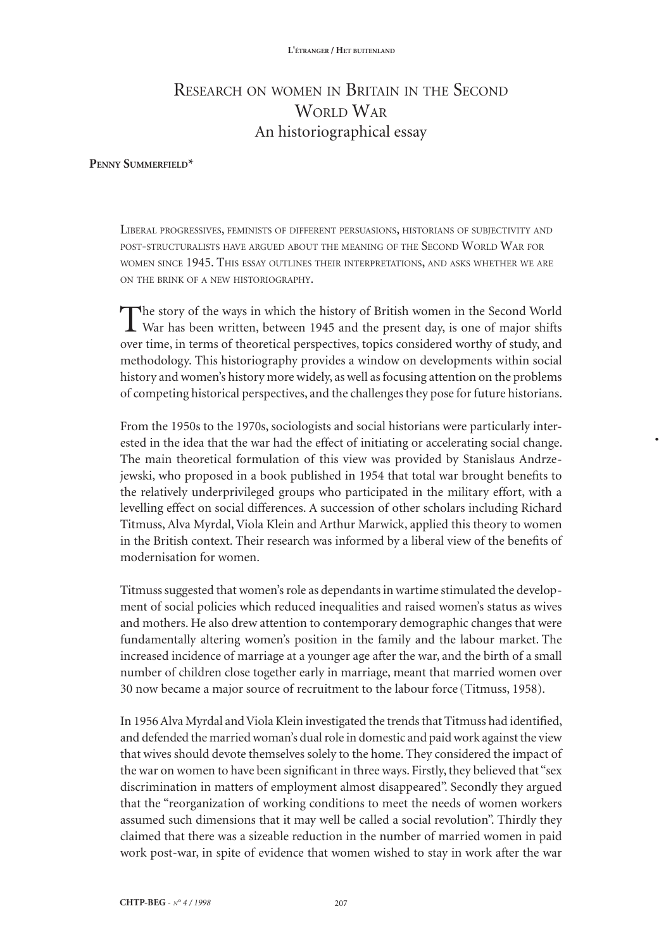# Research on women in Britain in the Second WORLD WAR An historiographical essay

## **Penny Summerfield\***

Liberal progressives, feminists of different persuasions, historians of subjectivity and post-structuralists have argued about the meaning of the Second World War for women since 1945. This essay outlines their interpretations, and asks whether we are on the brink of <sup>a</sup> new historiography.

The story of the ways in which the history of British women in the Second World War has been written, between 1945 and the present day, is one of major shifts over time, in terms of theoretical perspectives, topics considered worthy of study, and methodology. This historiography provides a window on developments within social history and women's history more widely, as well as focusing attention on the problems of competing historical perspectives, and the challenges they pose for future historians.

From the 1950s to the 1970s, sociologists and social historians were particularly interested in the idea that the war had the effect of initiating or accelerating social change. The main theoretical formulation of this view was provided by Stanislaus Andrzejewski, who proposed in a book published in 1954 that total war brought benefits to the relatively underprivileged groups who participated in the military effort, with a levelling effect on social differences. A succession of other scholars including Richard Titmuss, Alva Myrdal, Viola Klein and Arthur Marwick, applied this theory to women in the British context. Their research was informed by a liberal view of the benefits of modernisation for women.

**•**

Titmuss suggested that women's role as dependants in wartime stimulated the development of social policies which reduced inequalities and raised women's status as wives and mothers. He also drew attention to contemporary demographic changes that were fundamentally altering women's position in the family and the labour market. The increased incidence of marriage at a younger age after the war, and the birth of a small number of children close together early in marriage, meant that married women over 30 now became a major source of recruitment to the labour force (Titmuss, 1958).

In 1956 Alva Myrdal and Viola Klein investigated the trends that Titmuss had identified, and defended the married woman's dual role in domestic and paid work against the view that wives should devote themselves solely to the home. They considered the impact of the war on women to have been significant in three ways. Firstly, they believed that "sex discrimination in matters of employment almost disappeared". Secondly they argued that the "reorganization of working conditions to meet the needs of women workers assumed such dimensions that it may well be called a social revolution". Thirdly they claimed that there was a sizeable reduction in the number of married women in paid work post-war, in spite of evidence that women wished to stay in work after the war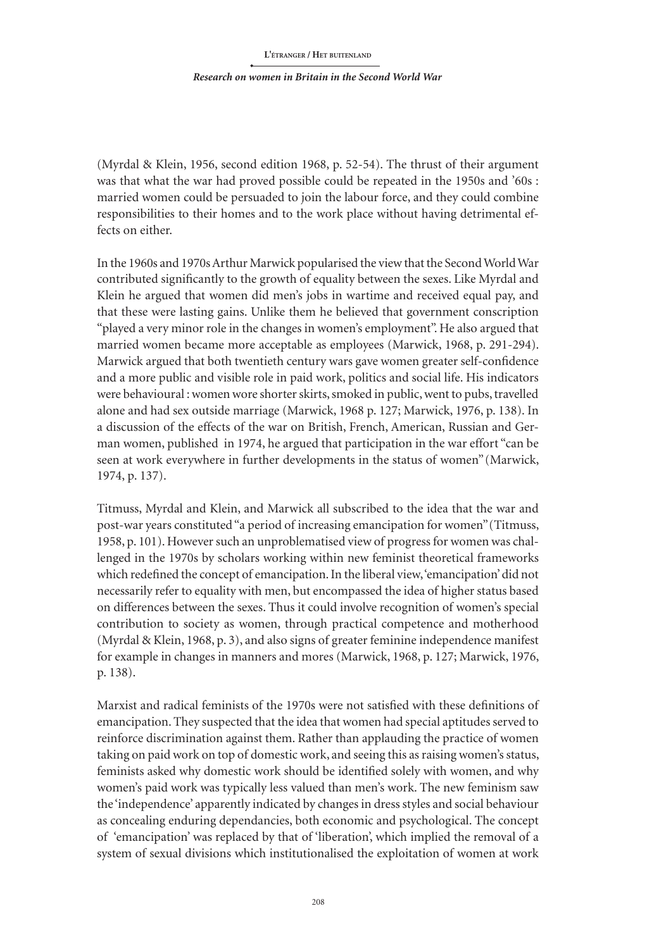#### *Research on women in Britain in the Second World War*

(Myrdal & Klein, 1956, second edition 1968, p. 52-54). The thrust of their argument was that what the war had proved possible could be repeated in the 1950s and '60s : married women could be persuaded to join the labour force, and they could combine responsibilities to their homes and to the work place without having detrimental effects on either.

In the 1960s and 1970s Arthur Marwick popularised the view that the Second WorldWar contributed significantly to the growth of equality between the sexes. Like Myrdal and Klein he argued that women did men's jobs in wartime and received equal pay, and that these were lasting gains. Unlike them he believed that government conscription "played a very minor role in the changes in women's employment". He also argued that married women became more acceptable as employees (Marwick, 1968, p. 291-294). Marwick argued that both twentieth century wars gave women greater self-confidence and a more public and visible role in paid work, politics and social life. His indicators were behavioural : women wore shorterskirts, smoked in public, went to pubs, travelled alone and had sex outside marriage (Marwick, 1968 p. 127; Marwick, 1976, p. 138). In a discussion of the effects of the war on British, French, American, Russian and German women, published in 1974, he argued that participation in the war effort "can be seen at work everywhere in further developments in the status of women"(Marwick, 1974, p. 137).

Titmuss, Myrdal and Klein, and Marwick all subscribed to the idea that the war and post-war years constituted "a period of increasing emancipation for women"(Titmuss, 1958, p. 101). However such an unproblematised view of progress for women was challenged in the 1970s by scholars working within new feminist theoretical frameworks which redefined the concept of emancipation. In the liberal view, 'emancipation' did not necessarily refer to equality with men, but encompassed the idea of higher status based on differences between the sexes. Thus it could involve recognition of women's special contribution to society as women, through practical competence and motherhood (Myrdal & Klein, 1968, p. 3), and also signs of greater feminine independence manifest for example in changes in manners and mores (Marwick, 1968, p. 127; Marwick, 1976, p. 138).

Marxist and radical feminists of the 1970s were not satisfied with these definitions of emancipation. They suspected that the idea that women had special aptitudes served to reinforce discrimination against them. Rather than applauding the practice of women taking on paid work on top of domestic work, and seeing this as raising women's status, feminists asked why domestic work should be identified solely with women, and why women's paid work was typically less valued than men's work. The new feminism saw the 'independence' apparently indicated by changes in dress styles and social behaviour as concealing enduring dependancies, both economic and psychological. The concept of 'emancipation' was replaced by that of 'liberation', which implied the removal of a system of sexual divisions which institutionalised the exploitation of women at work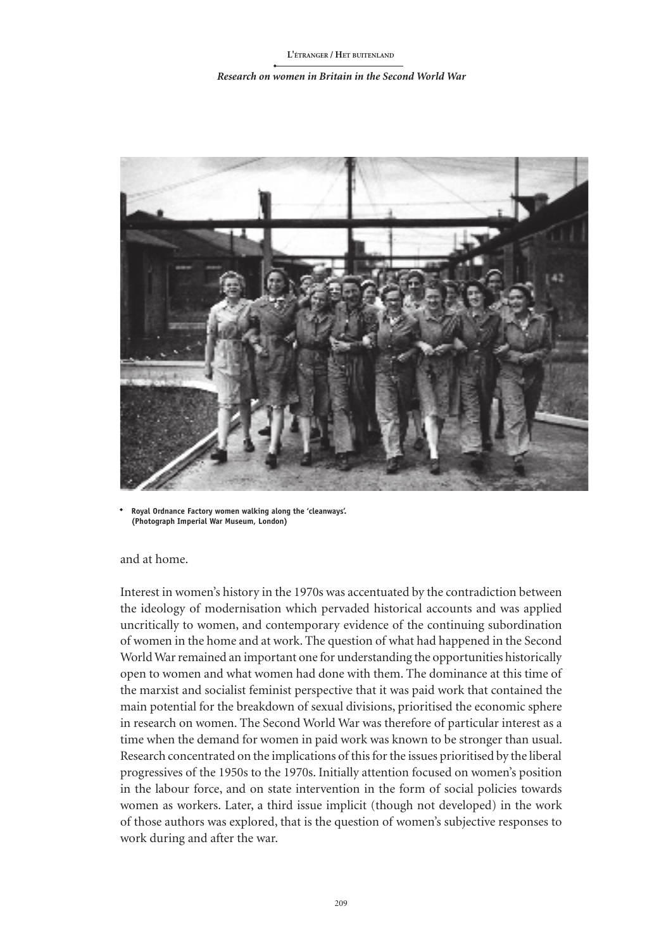#### *Research on women in Britain in the Second World War*



**Royal Ordnance Factory women walking along the 'cleanways'. (Photograph Imperial War Museum, London)**

and at home.

Interest in women's history in the 1970s was accentuated by the contradiction between the ideology of modernisation which pervaded historical accounts and was applied uncritically to women, and contemporary evidence of the continuing subordination of women in the home and at work. The question of what had happened in the Second World War remained an important one for understanding the opportunities historically open to women and what women had done with them. The dominance at this time of the marxist and socialist feminist perspective that it was paid work that contained the main potential for the breakdown of sexual divisions, prioritised the economic sphere in research on women. The Second World War was therefore of particular interest as a time when the demand for women in paid work was known to be stronger than usual. Research concentrated on the implications of this for the issues prioritised by the liberal progressives of the 1950s to the 1970s. Initially attention focused on women's position in the labour force, and on state intervention in the form of social policies towards women as workers. Later, a third issue implicit (though not developed) in the work of those authors was explored, that is the question of women's subjective responses to work during and after the war.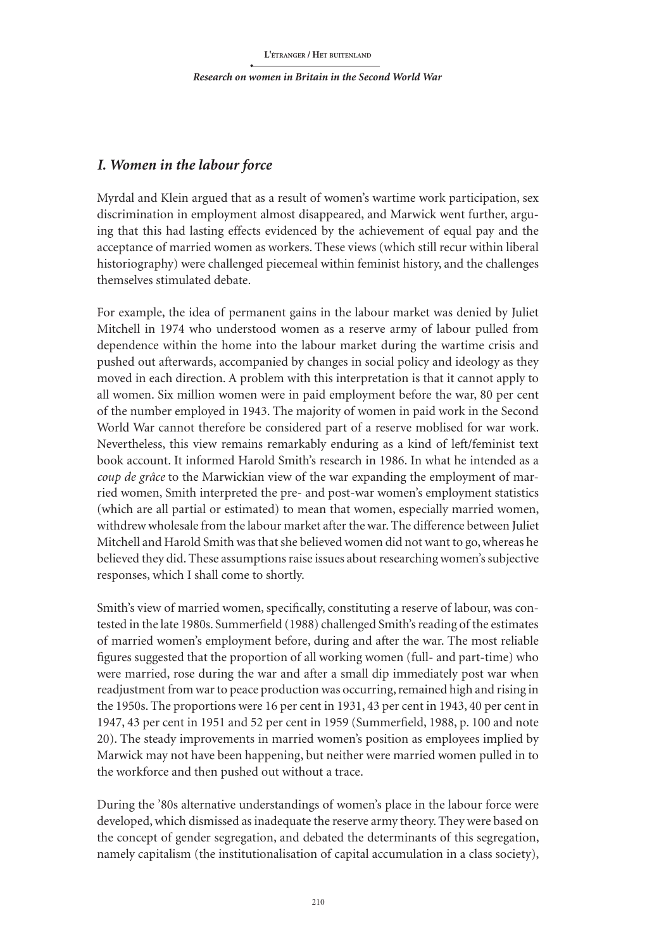## *I. Women in the labour force*

Myrdal and Klein argued that as a result of women's wartime work participation, sex discrimination in employment almost disappeared, and Marwick went further, arguing that this had lasting effects evidenced by the achievement of equal pay and the acceptance of married women as workers. These views (which still recur within liberal historiography) were challenged piecemeal within feminist history, and the challenges themselves stimulated debate.

For example, the idea of permanent gains in the labour market was denied by Juliet Mitchell in 1974 who understood women as a reserve army of labour pulled from dependence within the home into the labour market during the wartime crisis and pushed out afterwards, accompanied by changes in social policy and ideology as they moved in each direction. A problem with this interpretation is that it cannot apply to all women. Six million women were in paid employment before the war, 80 per cent of the number employed in 1943. The majority of women in paid work in the Second World War cannot therefore be considered part of a reserve moblised for war work. Nevertheless, this view remains remarkably enduring as a kind of left/feminist text book account. It informed Harold Smith's research in 1986. In what he intended as a *coup de grâce* to the Marwickian view of the war expanding the employment of married women, Smith interpreted the pre- and post-war women's employment statistics (which are all partial or estimated) to mean that women, especially married women, withdrew wholesale from the labour market after the war. The difference between Juliet Mitchell and Harold Smith was that she believed women did not want to go, whereas he believed they did. These assumptions raise issues about researching women's subjective responses, which I shall come to shortly.

Smith's view of married women, specifically, constituting a reserve of labour, was contested in the late 1980s. Summerfield (1988) challenged Smith's reading of the estimates of married women's employment before, during and after the war. The most reliable figures suggested that the proportion of all working women (full- and part-time) who were married, rose during the war and after a small dip immediately post war when readjustment from war to peace production was occurring, remained high and rising in the 1950s. The proportions were 16 per cent in 1931, 43 per cent in 1943, 40 per cent in 1947, 43 per cent in 1951 and 52 per cent in 1959 (Summerfield, 1988, p. 100 and note 20). The steady improvements in married women's position as employees implied by Marwick may not have been happening, but neither were married women pulled in to the workforce and then pushed out without a trace.

During the '80s alternative understandings of women's place in the labour force were developed, which dismissed as inadequate the reserve army theory. They were based on the concept of gender segregation, and debated the determinants of this segregation, namely capitalism (the institutionalisation of capital accumulation in a class society),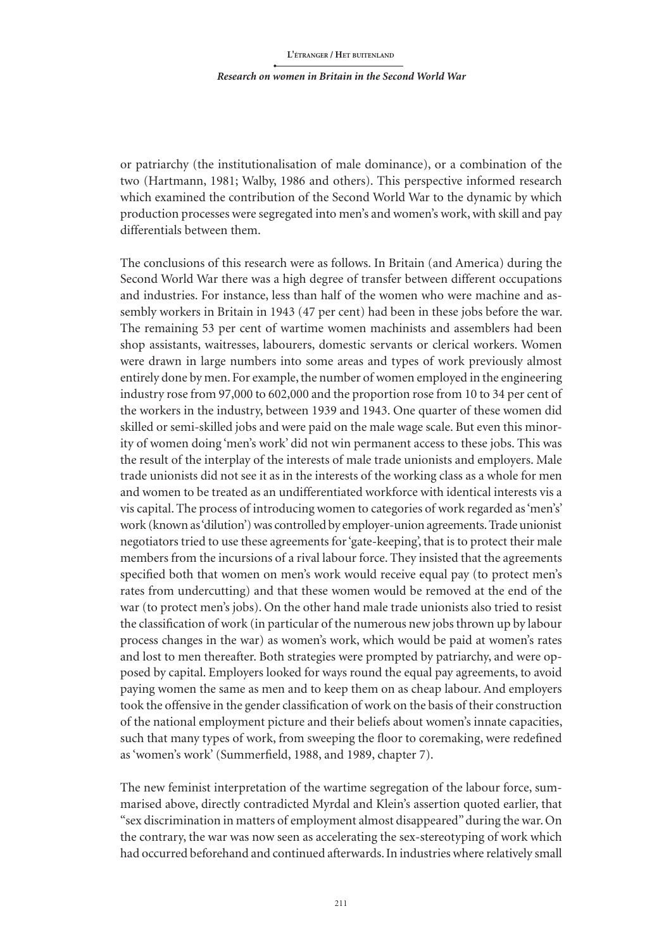#### *Research on women in Britain in the Second World War*

or patriarchy (the institutionalisation of male dominance), or a combination of the two (Hartmann, 1981; Walby, 1986 and others). This perspective informed research which examined the contribution of the Second World War to the dynamic by which production processes were segregated into men's and women's work, with skill and pay differentials between them.

The conclusions of this research were as follows. In Britain (and America) during the Second World War there was a high degree of transfer between different occupations and industries. For instance, less than half of the women who were machine and assembly workers in Britain in 1943 (47 per cent) had been in these jobs before the war. The remaining 53 per cent of wartime women machinists and assemblers had been shop assistants, waitresses, labourers, domestic servants or clerical workers. Women were drawn in large numbers into some areas and types of work previously almost entirely done by men. For example, the number of women employed in the engineering industry rose from 97,000 to 602,000 and the proportion rose from 10 to 34 per cent of the workers in the industry, between 1939 and 1943. One quarter of these women did skilled or semi-skilled jobs and were paid on the male wage scale. But even this minority of women doing 'men's work' did not win permanent access to these jobs. This was the result of the interplay of the interests of male trade unionists and employers. Male trade unionists did not see it as in the interests of the working class as a whole for men and women to be treated as an undifferentiated workforce with identical interests vis a vis capital. The process of introducing women to categories of work regarded as 'men's' work (known as 'dilution') was controlled by employer-union agreements. Trade unionist negotiators tried to use these agreements for 'gate-keeping', that is to protect their male members from the incursions of a rival labour force. They insisted that the agreements specified both that women on men's work would receive equal pay (to protect men's rates from undercutting) and that these women would be removed at the end of the war (to protect men's jobs). On the other hand male trade unionists also tried to resist the classification of work (in particular of the numerous new jobs thrown up by labour process changes in the war) as women's work, which would be paid at women's rates and lost to men thereafter. Both strategies were prompted by patriarchy, and were opposed by capital. Employers looked for ways round the equal pay agreements, to avoid paying women the same as men and to keep them on as cheap labour. And employers took the offensive in the gender classification of work on the basis of their construction of the national employment picture and their beliefs about women's innate capacities, such that many types of work, from sweeping the floor to coremaking, were redefined as 'women's work' (Summerfield, 1988, and 1989, chapter 7).

The new feminist interpretation of the wartime segregation of the labour force, summarised above, directly contradicted Myrdal and Klein's assertion quoted earlier, that "sex discrimination in matters of employment almost disappeared" during the war. On the contrary, the war was now seen as accelerating the sex-stereotyping of work which had occurred beforehand and continued afterwards. In industries where relatively small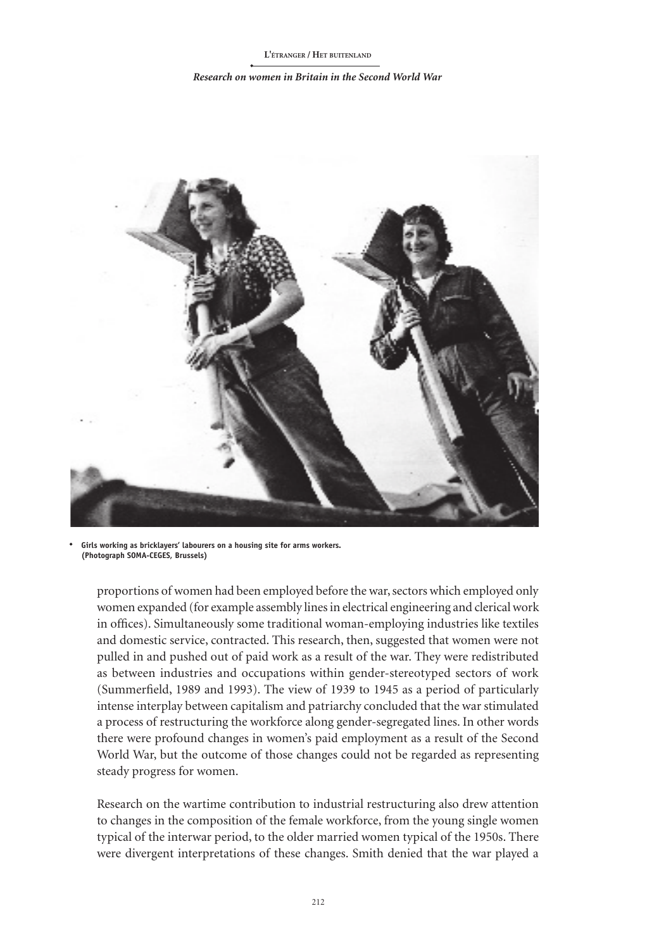#### *Research on women in Britain in the Second World War*



**Girls working as bricklayers' labourers on a housing site for arms workers. (Photograph SOMA-CEGES, Brussels)**

proportions of women had been employed before the war, sectors which employed only women expanded (for example assembly lines in electrical engineering and clerical work in offices). Simultaneously some traditional woman-employing industries like textiles and domestic service, contracted. This research, then, suggested that women were not pulled in and pushed out of paid work as a result of the war. They were redistributed as between industries and occupations within gender-stereotyped sectors of work (Summerfield, 1989 and 1993). The view of 1939 to 1945 as a period of particularly intense interplay between capitalism and patriarchy concluded that the war stimulated a process of restructuring the workforce along gender-segregated lines. In other words there were profound changes in women's paid employment as a result of the Second World War, but the outcome of those changes could not be regarded as representing steady progress for women.

Research on the wartime contribution to industrial restructuring also drew attention to changes in the composition of the female workforce, from the young single women typical of the interwar period, to the older married women typical of the 1950s. There were divergent interpretations of these changes. Smith denied that the war played a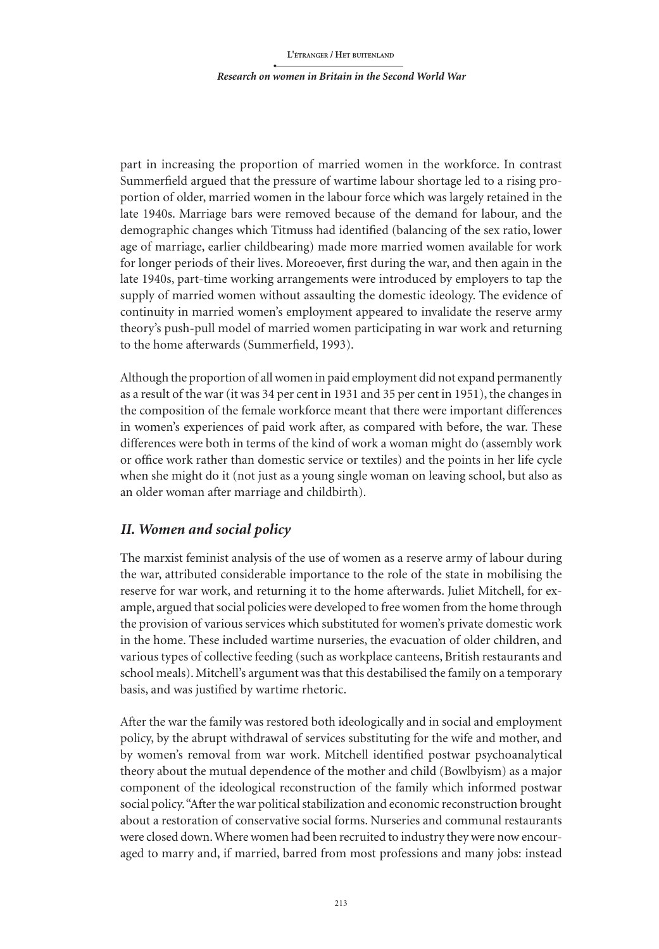*Research on women in Britain in the Second World War*

part in increasing the proportion of married women in the workforce. In contrast Summerfield argued that the pressure of wartime labour shortage led to a rising proportion of older, married women in the labour force which was largely retained in the late 1940s. Marriage bars were removed because of the demand for labour, and the demographic changes which Titmuss had identified (balancing of the sex ratio, lower age of marriage, earlier childbearing) made more married women available for work for longer periods of their lives. Moreoever, first during the war, and then again in the late 1940s, part-time working arrangements were introduced by employers to tap the supply of married women without assaulting the domestic ideology. The evidence of continuity in married women's employment appeared to invalidate the reserve army theory's push-pull model of married women participating in war work and returning to the home afterwards (Summerfield, 1993).

Although the proportion of all women in paid employment did not expand permanently as a result of the war (it was 34 per cent in 1931 and 35 per cent in 1951), the changes in the composition of the female workforce meant that there were important differences in women's experiences of paid work after, as compared with before, the war. These differences were both in terms of the kind of work a woman might do (assembly work or office work rather than domestic service or textiles) and the points in her life cycle when she might do it (not just as a young single woman on leaving school, but also as an older woman after marriage and childbirth).

## *II. Women and social policy*

The marxist feminist analysis of the use of women as a reserve army of labour during the war, attributed considerable importance to the role of the state in mobilising the reserve for war work, and returning it to the home afterwards. Juliet Mitchell, for example, argued that social policies were developed to free women from the home through the provision of various services which substituted for women's private domestic work in the home. These included wartime nurseries, the evacuation of older children, and various types of collective feeding (such as workplace canteens, British restaurants and school meals). Mitchell's argument was that this destabilised the family on a temporary basis, and was justified by wartime rhetoric.

After the war the family was restored both ideologically and in social and employment policy, by the abrupt withdrawal of services substituting for the wife and mother, and by women's removal from war work. Mitchell identified postwar psychoanalytical theory about the mutual dependence of the mother and child (Bowlbyism) as a major component of the ideological reconstruction of the family which informed postwar social policy. "After the war political stabilization and economic reconstruction brought about a restoration of conservative social forms. Nurseries and communal restaurants were closed down. Where women had been recruited to industry they were now encouraged to marry and, if married, barred from most professions and many jobs: instead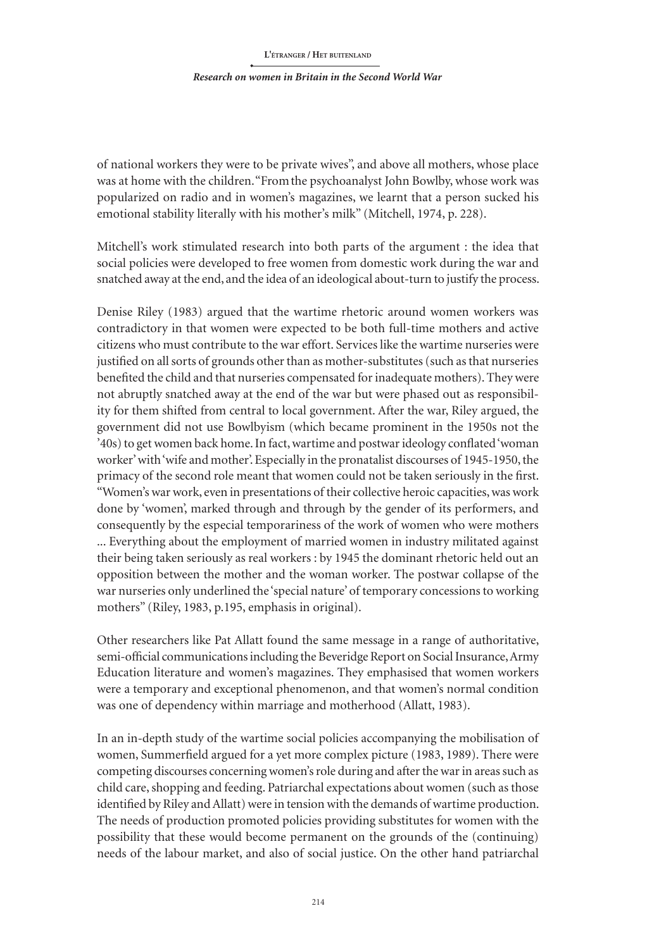### *Research on women in Britain in the Second World War*

of national workers they were to be private wives", and above all mothers, whose place was at home with the children."Fromthe psychoanalyst John Bowlby, whose work was popularized on radio and in women's magazines, we learnt that a person sucked his emotional stability literally with his mother's milk" (Mitchell, 1974, p. 228).

Mitchell's work stimulated research into both parts of the argument : the idea that social policies were developed to free women from domestic work during the war and snatched away at the end, and the idea of an ideological about-turn to justify the process.

Denise Riley (1983) argued that the wartime rhetoric around women workers was contradictory in that women were expected to be both full-time mothers and active citizens who must contribute to the war effort. Services like the wartime nurseries were justified on all sorts of grounds other than as mother-substitutes (such as that nurseries benefited the child and that nurseries compensated for inadequate mothers). They were not abruptly snatched away at the end of the war but were phased out as responsibility for them shifted from central to local government. After the war, Riley argued, the government did not use Bowlbyism (which became prominent in the 1950s not the '40s) to get women back home. In fact, wartime and postwar ideology conflated 'woman worker' with 'wife and mother'. Especially in the pronatalist discourses of 1945-1950, the primacy of the second role meant that women could not be taken seriously in the first. "Women's war work, even in presentations of their collective heroic capacities, was work done by 'women', marked through and through by the gender of its performers, and consequently by the especial temporariness of the work of women who were mothers ... Everything about the employment of married women in industry militated against their being taken seriously as real workers : by 1945 the dominant rhetoric held out an opposition between the mother and the woman worker. The postwar collapse of the war nurseries only underlined the 'special nature' of temporary concessions to working mothers" (Riley, 1983, p.195, emphasis in original).

Other researchers like Pat Allatt found the same message in a range of authoritative, semi-official communications including the Beveridge Report on Social Insurance, Army Education literature and women's magazines. They emphasised that women workers were a temporary and exceptional phenomenon, and that women's normal condition was one of dependency within marriage and motherhood (Allatt, 1983).

In an in-depth study of the wartime social policies accompanying the mobilisation of women, Summerfield argued for a yet more complex picture (1983, 1989). There were competing discourses concerning women's role during and after the war in areas such as child care, shopping and feeding. Patriarchal expectations about women (such as those identified by Riley and Allatt) were in tension with the demands of wartime production. The needs of production promoted policies providing substitutes for women with the possibility that these would become permanent on the grounds of the (continuing) needs of the labour market, and also of social justice. On the other hand patriarchal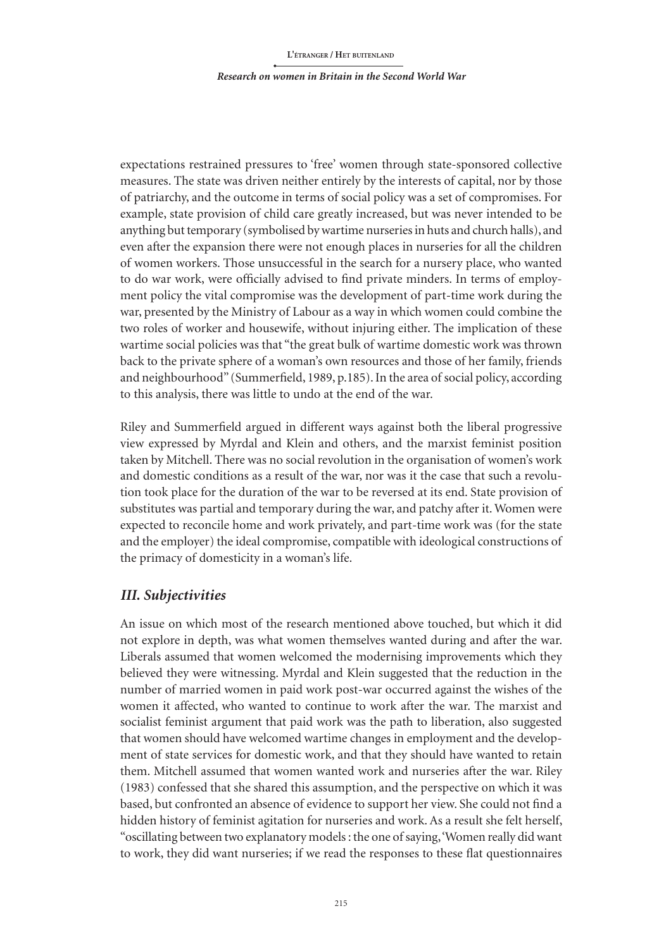*Research on women in Britain in the Second World War*

expectations restrained pressures to 'free' women through state-sponsored collective measures. The state was driven neither entirely by the interests of capital, nor by those of patriarchy, and the outcome in terms of social policy was a set of compromises. For example, state provision of child care greatly increased, but was never intended to be anything but temporary (symbolised by wartime nurseries in huts and church halls), and even after the expansion there were not enough places in nurseries for all the children of women workers. Those unsuccessful in the search for a nursery place, who wanted to do war work, were officially advised to find private minders. In terms of employment policy the vital compromise was the development of part-time work during the war, presented by the Ministry of Labour as a way in which women could combine the two roles of worker and housewife, without injuring either. The implication of these wartime social policies was that "the great bulk of wartime domestic work was thrown back to the private sphere of a woman's own resources and those of her family, friends and neighbourhood" (Summerfield, 1989, p.185). In the area of social policy, according to this analysis, there was little to undo at the end of the war.

Riley and Summerfield argued in different ways against both the liberal progressive view expressed by Myrdal and Klein and others, and the marxist feminist position taken by Mitchell. There was no social revolution in the organisation of women's work and domestic conditions as a result of the war, nor was it the case that such a revolution took place for the duration of the war to be reversed at its end. State provision of substitutes was partial and temporary during the war, and patchy after it. Women were expected to reconcile home and work privately, and part-time work was (for the state and the employer) the ideal compromise, compatible with ideological constructions of the primacy of domesticity in a woman's life.

## *III. Subjectivities*

An issue on which most of the research mentioned above touched, but which it did not explore in depth, was what women themselves wanted during and after the war. Liberals assumed that women welcomed the modernising improvements which they believed they were witnessing. Myrdal and Klein suggested that the reduction in the number of married women in paid work post-war occurred against the wishes of the women it affected, who wanted to continue to work after the war. The marxist and socialist feminist argument that paid work was the path to liberation, also suggested that women should have welcomed wartime changes in employment and the development of state services for domestic work, and that they should have wanted to retain them. Mitchell assumed that women wanted work and nurseries after the war. Riley (1983) confessed that she shared this assumption, and the perspective on which it was based, but confronted an absence of evidence to support her view. She could not find a hidden history of feminist agitation for nurseries and work. As a result she felt herself, "oscillating between two explanatory models: the one of saying, 'Women really did want to work, they did want nurseries; if we read the responses to these flat questionnaires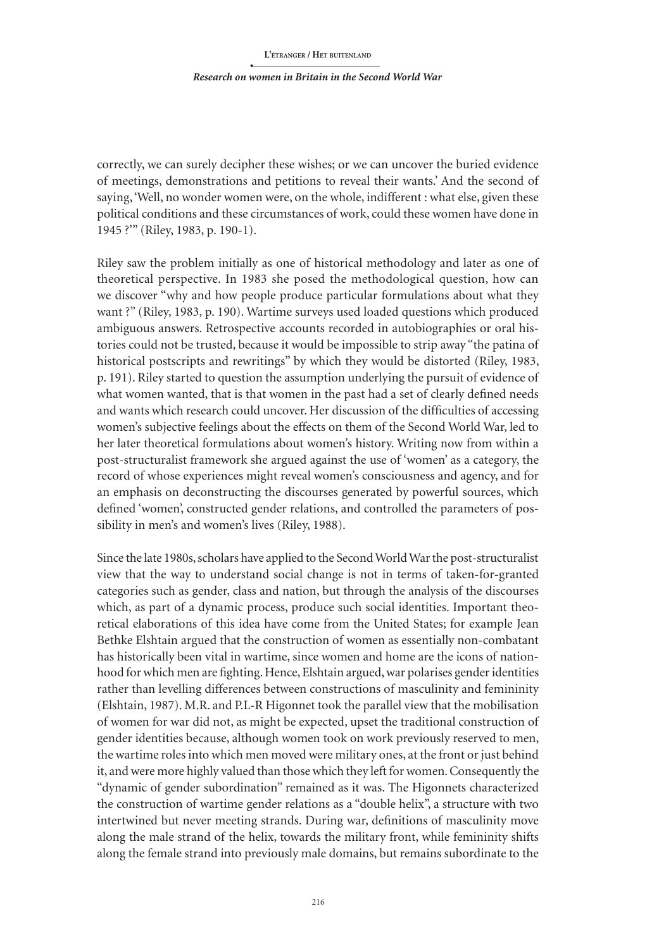correctly, we can surely decipher these wishes; or we can uncover the buried evidence of meetings, demonstrations and petitions to reveal their wants.' And the second of saying, 'Well, no wonder women were, on the whole, indifferent : what else, given these political conditions and these circumstances of work, could these women have done in 1945 ?'" (Riley, 1983, p. 190-1).

Riley saw the problem initially as one of historical methodology and later as one of theoretical perspective. In 1983 she posed the methodological question, how can we discover "why and how people produce particular formulations about what they want ?" (Riley, 1983, p. 190). Wartime surveys used loaded questions which produced ambiguous answers. Retrospective accounts recorded in autobiographies or oral histories could not be trusted, because it would be impossible to strip away "the patina of historical postscripts and rewritings" by which they would be distorted (Riley, 1983, p. 191). Riley started to question the assumption underlying the pursuit of evidence of what women wanted, that is that women in the past had a set of clearly defined needs and wants which research could uncover. Her discussion of the difficulties of accessing women's subjective feelings about the effects on them of the Second World War, led to her later theoretical formulations about women's history. Writing now from within a post-structuralist framework she argued against the use of 'women' as a category, the record of whose experiences might reveal women's consciousness and agency, and for an emphasis on deconstructing the discourses generated by powerful sources, which defined 'women', constructed gender relations, and controlled the parameters of possibility in men's and women's lives (Riley, 1988).

Since the late 1980s, scholars have applied to the Second World War the post-structuralist view that the way to understand social change is not in terms of taken-for-granted categories such as gender, class and nation, but through the analysis of the discourses which, as part of a dynamic process, produce such social identities. Important theoretical elaborations of this idea have come from the United States; for example Jean Bethke Elshtain argued that the construction of women as essentially non-combatant has historically been vital in wartime, since women and home are the icons of nationhood for which men are fighting. Hence, Elshtain argued, war polarises gender identities rather than levelling differences between constructions of masculinity and femininity (Elshtain, 1987). M.R. and P.L-R Higonnet took the parallel view that the mobilisation of women for war did not, as might be expected, upset the traditional construction of gender identities because, although women took on work previously reserved to men, the wartime roles into which men moved were military ones, at the front or just behind it, and were more highly valued than those which they left for women. Consequently the "dynamic of gender subordination" remained as it was. The Higonnets characterized the construction of wartime gender relations as a "double helix", a structure with two intertwined but never meeting strands. During war, definitions of masculinity move along the male strand of the helix, towards the military front, while femininity shifts along the female strand into previously male domains, but remains subordinate to the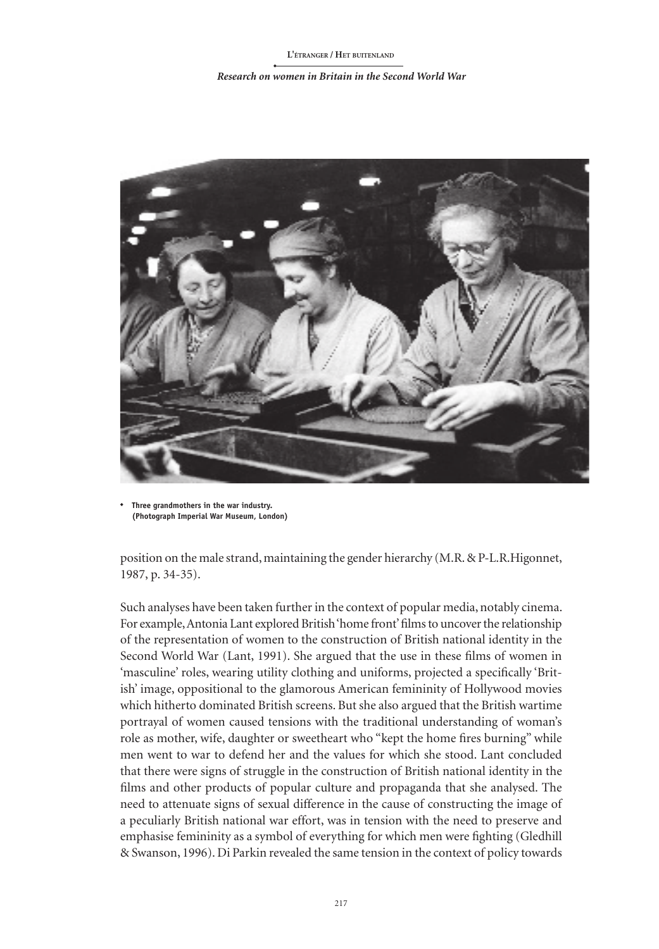#### *Research on women in Britain in the Second World War*



**Three grandmothers in the war industry. (Photograph Imperial War Museum, London)**

position on the male strand, maintaining the gender hierarchy (M.R. & P-L.R.Higonnet, 1987, p. 34-35).

Such analyses have been taken further in the context of popular media, notably cinema. For example, Antonia Lant explored British 'home front' films to uncover the relationship of the representation of women to the construction of British national identity in the Second World War (Lant, 1991). She argued that the use in these films of women in 'masculine' roles, wearing utility clothing and uniforms, projected a specifically 'British' image, oppositional to the glamorous American femininity of Hollywood movies which hitherto dominated British screens. But she also argued that the British wartime portrayal of women caused tensions with the traditional understanding of woman's role as mother, wife, daughter or sweetheart who "kept the home fires burning" while men went to war to defend her and the values for which she stood. Lant concluded that there were signs of struggle in the construction of British national identity in the films and other products of popular culture and propaganda that she analysed. The need to attenuate signs of sexual difference in the cause of constructing the image of a peculiarly British national war effort, was in tension with the need to preserve and emphasise femininity as a symbol of everything for which men were fighting (Gledhill & Swanson, 1996). Di Parkin revealed the same tension in the context of policy towards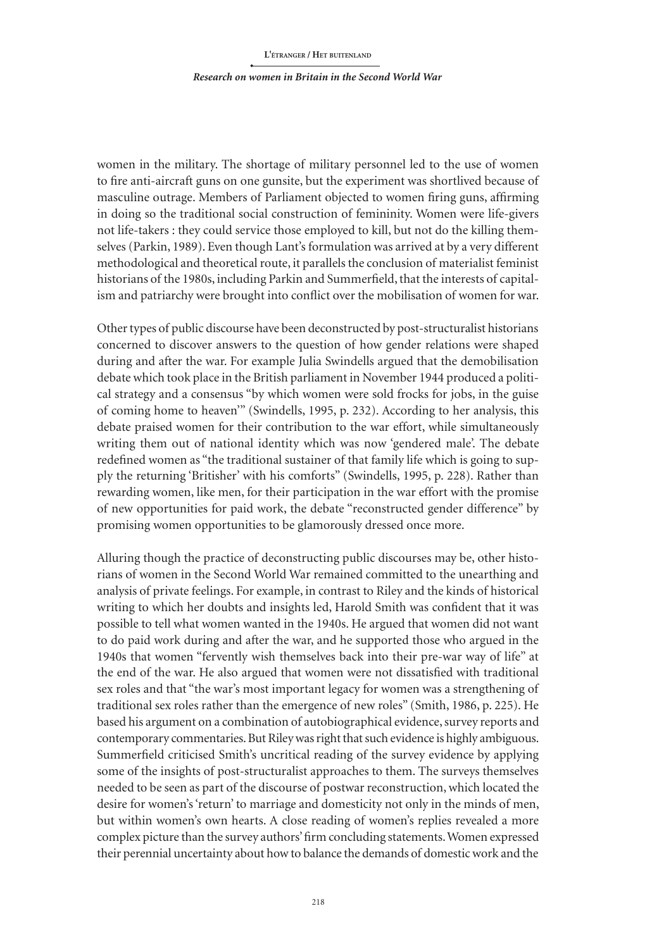#### *Research on women in Britain in the Second World War*

women in the military. The shortage of military personnel led to the use of women to fire anti-aircraft guns on one gunsite, but the experiment was shortlived because of masculine outrage. Members of Parliament objected to women firing guns, affirming in doing so the traditional social construction of femininity. Women were life-givers not life-takers : they could service those employed to kill, but not do the killing themselves (Parkin, 1989). Even though Lant's formulation was arrived at by a very different methodological and theoretical route, it parallels the conclusion of materialist feminist historians of the 1980s, including Parkin and Summerfield, that the interests of capitalism and patriarchy were brought into conflict over the mobilisation of women for war.

Other types of public discourse have been deconstructed by post-structuralist historians concerned to discover answers to the question of how gender relations were shaped during and after the war. For example Julia Swindells argued that the demobilisation debate which took place in the British parliament in November 1944 produced a political strategy and a consensus "by which women were sold frocks for jobs, in the guise of coming home to heaven'" (Swindells, 1995, p. 232). According to her analysis, this debate praised women for their contribution to the war effort, while simultaneously writing them out of national identity which was now 'gendered male'. The debate redefined women as "the traditional sustainer of that family life which is going to supply the returning 'Britisher' with his comforts" (Swindells, 1995, p. 228). Rather than rewarding women, like men, for their participation in the war effort with the promise of new opportunities for paid work, the debate "reconstructed gender difference" by promising women opportunities to be glamorously dressed once more.

Alluring though the practice of deconstructing public discourses may be, other historians of women in the Second World War remained committed to the unearthing and analysis of private feelings. For example, in contrast to Riley and the kinds of historical writing to which her doubts and insights led, Harold Smith was confident that it was possible to tell what women wanted in the 1940s. He argued that women did not want to do paid work during and after the war, and he supported those who argued in the 1940s that women "fervently wish themselves back into their pre-war way of life" at the end of the war. He also argued that women were not dissatisfied with traditional sex roles and that "the war's most important legacy for women was a strengthening of traditional sex roles rather than the emergence of new roles" (Smith, 1986, p. 225). He based his argument on a combination of autobiographical evidence, survey reports and contemporary commentaries. But Riley was right that such evidence is highly ambiguous. Summerfield criticised Smith's uncritical reading of the survey evidence by applying some of the insights of post-structuralist approaches to them. The surveys themselves needed to be seen as part of the discourse of postwar reconstruction, which located the desire for women's 'return' to marriage and domesticity not only in the minds of men, but within women's own hearts. A close reading of women's replies revealed a more complex picture than the survey authors' firm concluding statements. Women expressed their perennial uncertainty about how to balance the demands of domestic work and the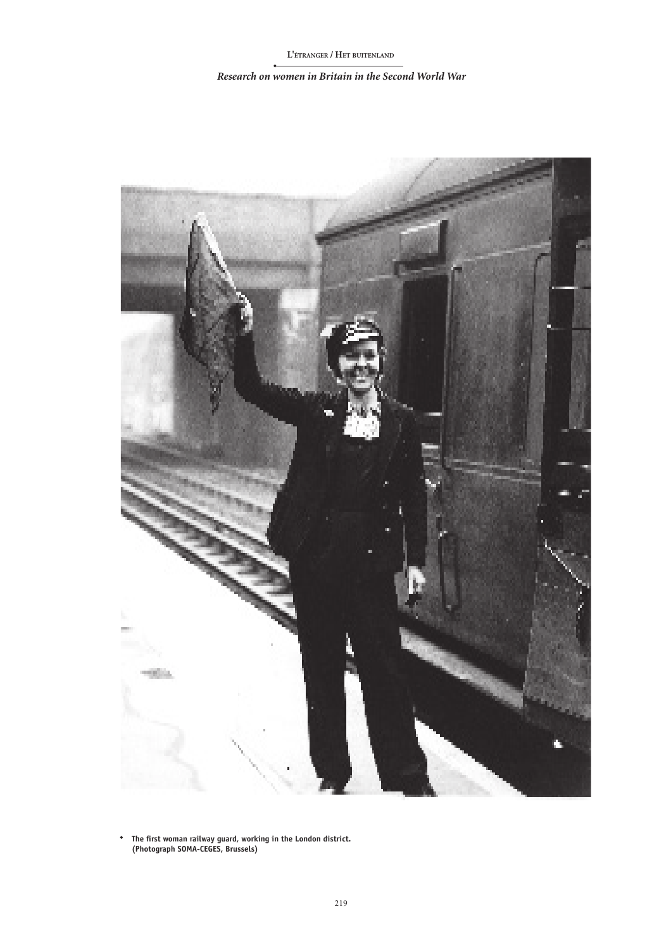### *Research on women in Britain in the Second World War*



**The first woman railway guard, working in the London district. (Photograph SOMA-CEGES, Brussels)**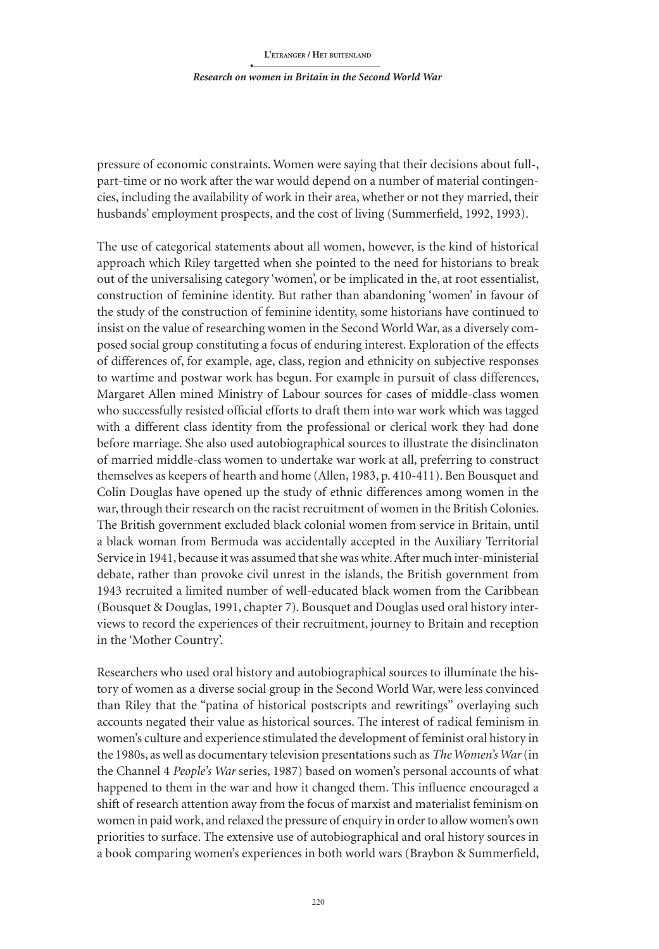#### *Research on women in Britain in the Second World War*

pressure of economic constraints. Women were saying that their decisions about full-, part-time or no work after the war would depend on a number of material contingencies, including the availability of work in their area, whether or not they married, their husbands' employment prospects, and the cost of living (Summerfield, 1992, 1993).

The use of categorical statements about all women, however, is the kind of historical approach which Riley targetted when she pointed to the need for historians to break out of the universalising category 'women', or be implicated in the, at root essentialist, construction of feminine identity. But rather than abandoning 'women' in favour of the study of the construction of feminine identity, some historians have continued to insist on the value of researching women in the Second World War, as a diversely composed social group constituting a focus of enduring interest. Exploration of the effects of differences of, for example, age, class, region and ethnicity on subjective responses to wartime and postwar work has begun. For example in pursuit of class differences, Margaret Allen mined Ministry of Labour sources for cases of middle-class women who successfully resisted official efforts to draft them into war work which was tagged with a different class identity from the professional or clerical work they had done before marriage. She also used autobiographical sources to illustrate the disinclinaton of married middle-class women to undertake war work at all, preferring to construct themselves as keepers of hearth and home (Allen, 1983, p. 410-411). Ben Bousquet and Colin Douglas have opened up the study of ethnic differences among women in the war, through their research on the racist recruitment of women in the British Colonies. The British government excluded black colonial women from service in Britain, until a black woman from Bermuda was accidentally accepted in the Auxiliary Territorial Service in 1941, because it was assumed that she was white. After much inter-ministerial debate, rather than provoke civil unrest in the islands, the British government from 1943 recruited a limited number of well-educated black women from the Caribbean (Bousquet & Douglas, 1991, chapter 7). Bousquet and Douglas used oral history interviews to record the experiences of their recruitment, journey to Britain and reception in the 'Mother Country'.

Researchers who used oral history and autobiographical sources to illuminate the history of women as a diverse social group in the Second World War, were less convinced than Riley that the "patina of historical postscripts and rewritings" overlaying such accounts negated their value as historical sources. The interest of radical feminism in women's culture and experience stimulated the development of feminist oral history in the 1980s, as well as documentary television presentations such as *The Women's War* (in the Channel 4 *People's War* series, 1987) based on women's personal accounts of what happened to them in the war and how it changed them. This influence encouraged a shift of research attention away from the focus of marxist and materialist feminism on women in paid work, and relaxed the pressure of enquiry in order to allow women's own priorities to surface. The extensive use of autobiographical and oral history sources in a book comparing women's experiences in both world wars (Braybon & Summerfield,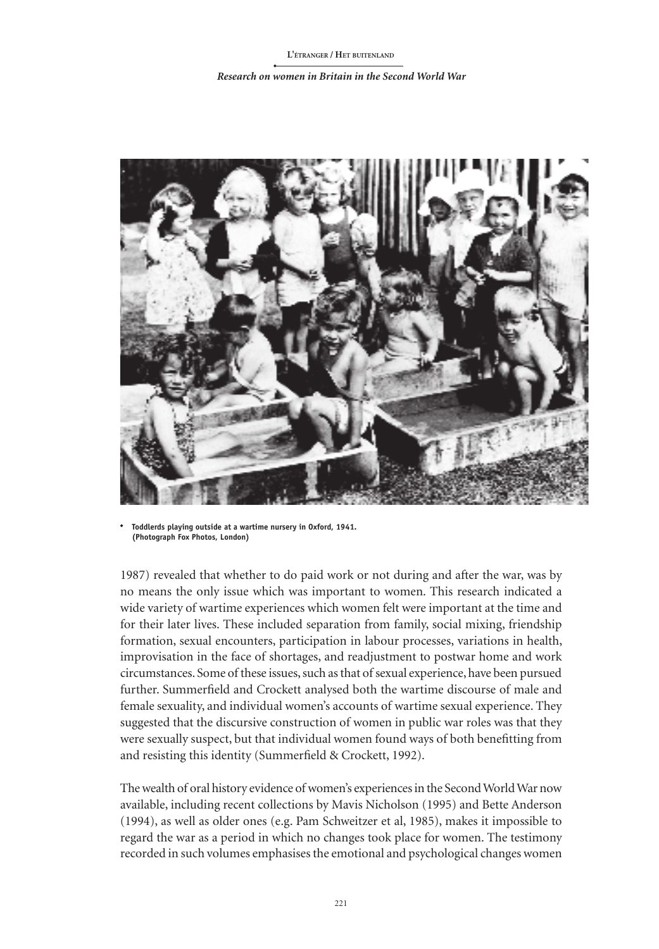#### *Research on women in Britain in the Second World War*



**Toddlerds playing outside at a wartime nursery in Oxford, 1941. (Photograph Fox Photos, London)**

1987) revealed that whether to do paid work or not during and after the war, was by no means the only issue which was important to women. This research indicated a wide variety of wartime experiences which women felt were important at the time and for their later lives. These included separation from family, social mixing, friendship formation, sexual encounters, participation in labour processes, variations in health, improvisation in the face of shortages, and readjustment to postwar home and work circumstances. Some of these issues, such as that of sexual experience, have been pursued further. Summerfield and Crockett analysed both the wartime discourse of male and female sexuality, and individual women's accounts of wartime sexual experience. They suggested that the discursive construction of women in public war roles was that they were sexually suspect, but that individual women found ways of both benefitting from and resisting this identity (Summerfield & Crockett, 1992).

The wealth of oral history evidence of women's experiences in the Second World War now available, including recent collections by Mavis Nicholson (1995) and Bette Anderson (1994), as well as older ones (e.g. Pam Schweitzer et al, 1985), makes it impossible to regard the war as a period in which no changes took place for women. The testimony recorded in such volumes emphasises the emotional and psychological changes women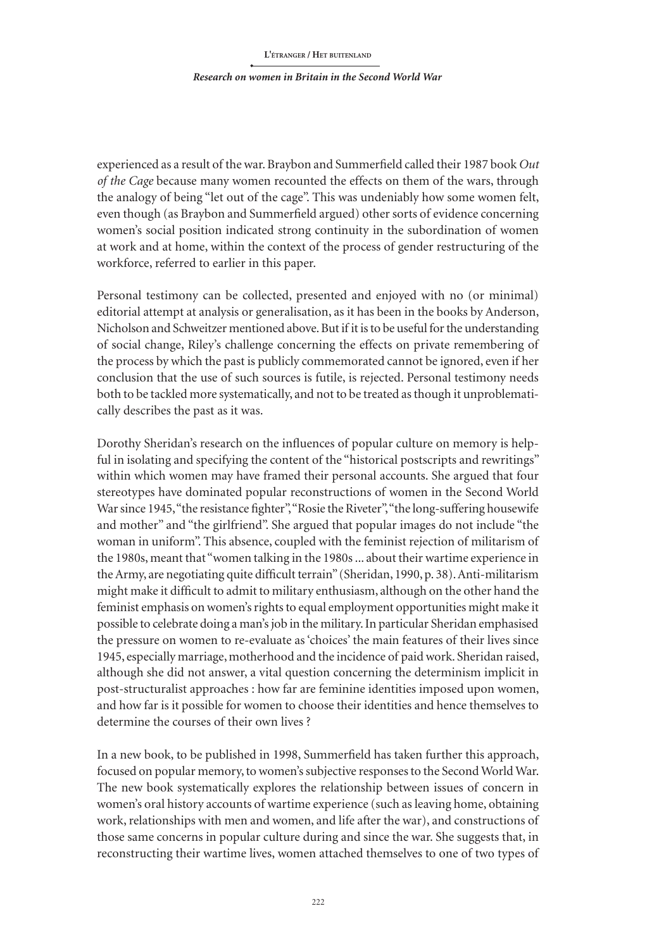### *Research on women in Britain in the Second World War*

experienced as a result of the war. Braybon and Summerfield called their 1987 book *Out of the Cage* because many women recounted the effects on them of the wars, through the analogy of being "let out of the cage". This was undeniably how some women felt, even though (as Braybon and Summerfield argued) other sorts of evidence concerning women's social position indicated strong continuity in the subordination of women at work and at home, within the context of the process of gender restructuring of the workforce, referred to earlier in this paper.

Personal testimony can be collected, presented and enjoyed with no (or minimal) editorial attempt at analysis or generalisation, as it has been in the books by Anderson, Nicholson and Schweitzer mentioned above. But if it is to be useful for the understanding of social change, Riley's challenge concerning the effects on private remembering of the process by which the past is publicly commemorated cannot be ignored, even if her conclusion that the use of such sources is futile, is rejected. Personal testimony needs both to be tackled more systematically, and not to be treated as though it unproblematically describes the past as it was.

Dorothy Sheridan's research on the influences of popular culture on memory is helpful in isolating and specifying the content of the "historical postscripts and rewritings" within which women may have framed their personal accounts. She argued that four stereotypes have dominated popular reconstructions of women in the Second World War since 1945, "the resistance fighter", "Rosie the Riveter", "the long-suffering housewife and mother" and "the girlfriend". She argued that popular images do not include "the woman in uniform". This absence, coupled with the feminist rejection of militarism of the 1980s, meant that "women talking in the 1980s ... about their wartime experience in the Army, are negotiating quite difficult terrain" (Sheridan, 1990, p. 38). Anti-militarism might make it difficult to admit to military enthusiasm, although on the other hand the feminist emphasis on women's rights to equal employment opportunities might make it possible to celebrate doing a man's job in the military. In particular Sheridan emphasised the pressure on women to re-evaluate as 'choices' the main features of their lives since 1945, especially marriage, motherhood and the incidence of paid work. Sheridan raised, although she did not answer, a vital question concerning the determinism implicit in post-structuralist approaches : how far are feminine identities imposed upon women, and how far is it possible for women to choose their identities and hence themselves to determine the courses of their own lives ?

In a new book, to be published in 1998, Summerfield has taken further this approach, focused on popular memory, to women's subjective responses to the Second World War. The new book systematically explores the relationship between issues of concern in women's oral history accounts of wartime experience (such as leaving home, obtaining work, relationships with men and women, and life after the war), and constructions of those same concerns in popular culture during and since the war. She suggests that, in reconstructing their wartime lives, women attached themselves to one of two types of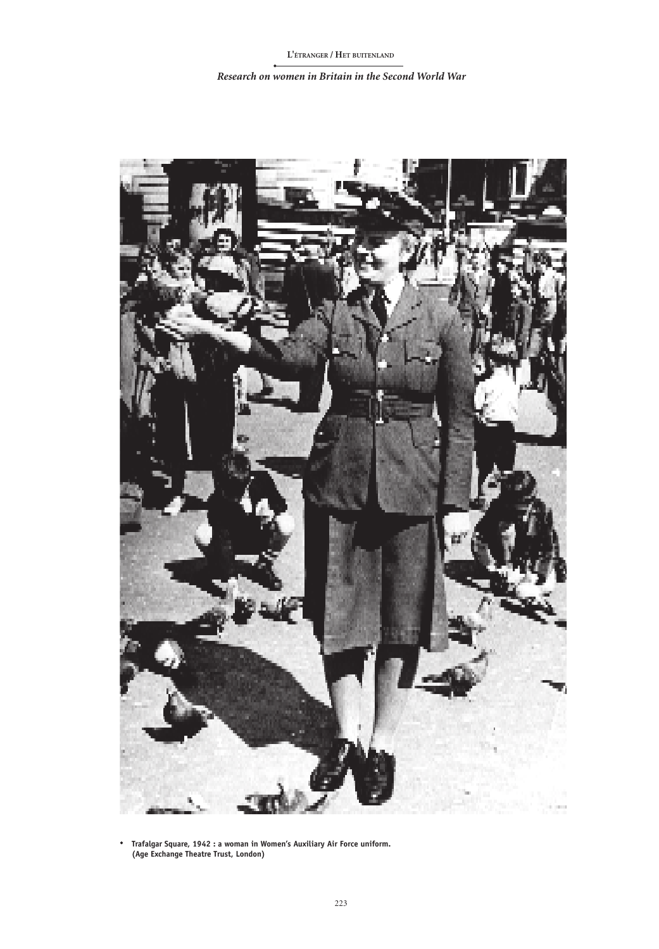*Research on women in Britain in the Second World War*



**Trafalgar Square, 1942 : a woman in Women's Auxiliary Air Force uniform. (Age Exchange Theatre Trust, London)**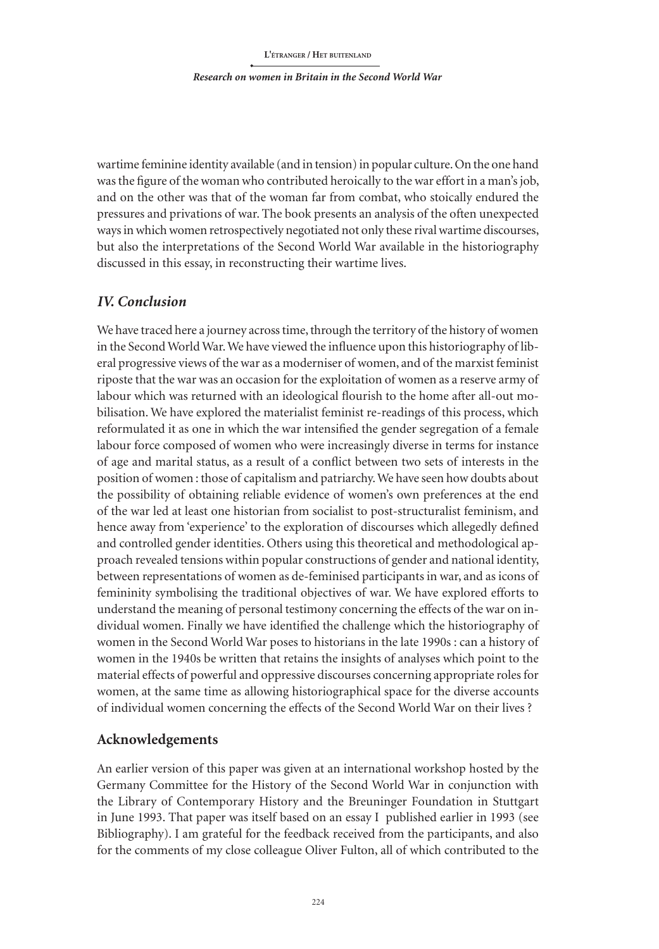### *Research on women in Britain in the Second World War*

wartime feminine identity available (and in tension) in popular culture. On the one hand was the figure of the woman who contributed heroically to the war effort in a man's job, and on the other was that of the woman far from combat, who stoically endured the pressures and privations of war. The book presents an analysis of the often unexpected ways in which women retrospectively negotiated not only these rival wartime discourses, but also the interpretations of the Second World War available in the historiography discussed in this essay, in reconstructing their wartime lives.

## *IV. Conclusion*

We have traced here a journey across time, through the territory of the history of women in the Second World War. We have viewed the influence upon this historiography of liberal progressive views of the war as a moderniser of women, and of the marxist feminist riposte that the war was an occasion for the exploitation of women as a reserve army of labour which was returned with an ideological flourish to the home after all-out mobilisation. We have explored the materialist feminist re-readings of this process, which reformulated it as one in which the war intensified the gender segregation of a female labour force composed of women who were increasingly diverse in terms for instance of age and marital status, as a result of a conflict between two sets of interests in the position of women : those of capitalism and patriarchy. We have seen how doubts about the possibility of obtaining reliable evidence of women's own preferences at the end of the war led at least one historian from socialist to post-structuralist feminism, and hence away from 'experience' to the exploration of discourses which allegedly defined and controlled gender identities. Others using this theoretical and methodological approach revealed tensions within popular constructions of gender and national identity, between representations of women as de-feminised participants in war, and as icons of femininity symbolising the traditional objectives of war. We have explored efforts to understand the meaning of personal testimony concerning the effects of the war on individual women. Finally we have identified the challenge which the historiography of women in the Second World War poses to historians in the late 1990s : can a history of women in the 1940s be written that retains the insights of analyses which point to the material effects of powerful and oppressive discourses concerning appropriate roles for women, at the same time as allowing historiographical space for the diverse accounts of individual women concerning the effects of the Second World War on their lives ?

## **Acknowledgements**

An earlier version of this paper was given at an international workshop hosted by the Germany Committee for the History of the Second World War in conjunction with the Library of Contemporary History and the Breuninger Foundation in Stuttgart in June 1993. That paper was itself based on an essay I published earlier in 1993 (see Bibliography). I am grateful for the feedback received from the participants, and also for the comments of my close colleague Oliver Fulton, all of which contributed to the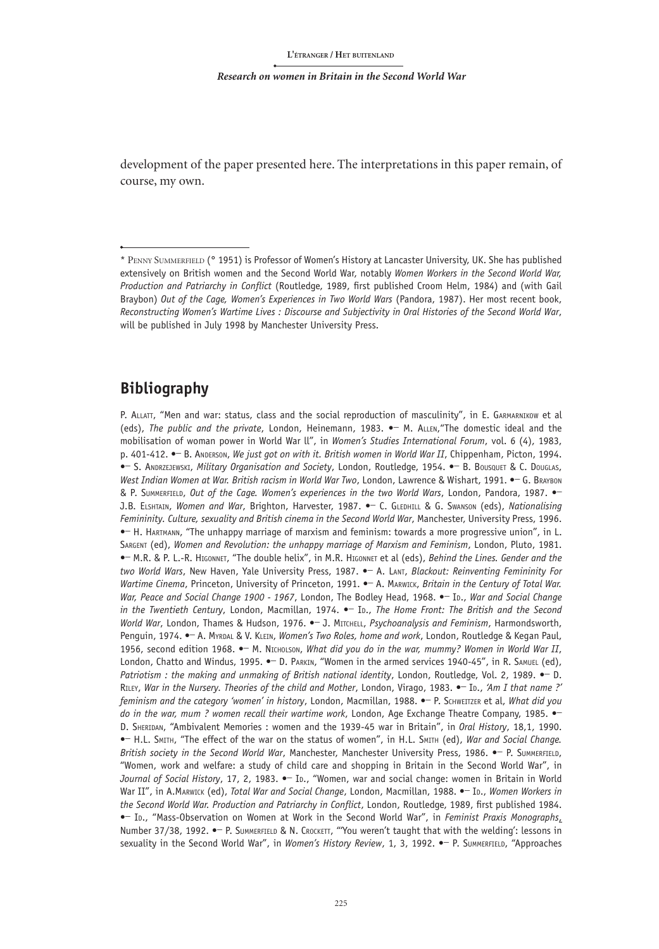development of the paper presented here. The interpretations in this paper remain, of course, my own.

## **Bibliography**

P. ALLATT, "Men and war: status, class and the social reproduction of masculinity", in E. GARMARNIKOW et al (eds), *The public and the private*, London, Heinemann, 1983. **•\_** M. Allen,"The domestic ideal and the mobilisation of woman power in World War ll", in *Women's Studies International Forum*, vol. 6 (4), 1983, p. 401-412. **•\_** B. Anderson, *We just got on with it. British women in World War II*, Chippenham, Picton, 1994. **•\_** S. Andrzejewski, *Military Organisation and Society*, London, Routledge, 1954. **•\_** B. Bousquet & C. Douglas, *West Indian Women at War. British racism in World War Two*, London, Lawrence & Wishart, 1991. **•\_** G. Braybon & P. Summerfield, *Out of the Cage. Women's experiences in the two World Wars*, London, Pandora, 1987. **•\_**  J.B. Elshtain, *Women and War*, Brighton, Harvester, 1987. **•\_** C. Gledhill & G. Swanson (eds), *Nationalising Femininity. Culture, sexuality and British cinema in the Second World War*, Manchester, University Press, 1996. **•\_** H. Hartmann, "The unhappy marriage of marxism and feminism: towards a more progressive union", in L. Sargent (ed), *Women and Revolution: the unhappy marriage of Marxism and Feminism*, London, Pluto, 1981. **•\_** M.R. & P. L.-R. Higonnet, "The double helix", in M.R. Higonnet et al (eds), *Behind the Lines. Gender and the two World Wars*, New Haven, Yale University Press, 1987. **•\_** A. Lant, *Blackout: Reinventing Femininity For Wartime Cinema*, Princeton, University of Princeton, 1991. **•\_** A. Marwick, *Britain in the Century of Total War. War, Peace and Social Change 1900 - 1967*, London, The Bodley Head, 1968. **•\_** Id., *War and Social Change in the Twentieth Century*, London, Macmillan, 1974.  $\bullet$  Io., *The Home Front: The British and the Second World War*, London, Thames & Hudson, 1976. **•\_** J. Mitchell, *Psychoanalysis and Feminism*, Harmondsworth, Penguin, 1974. **•\_** A. Myrdal & V. Klein, *Women's Two Roles, home and work*, London, Routledge & Kegan Paul, 1956, second edition 1968. **•\_** M. Nicholson, *What did you do in the war, mummy? Women in World War II*, London, Chatto and Windus, 1995. **•\_** D. Parkin, "Women in the armed services 1940-45", in R. Samuel (ed), *Patriotism : the making and unmaking of British national identity*, London, Routledge, Vol. 2, 1989. **•\_** D. Riley, *War in the Nursery. Theories of the child and Mother*, London, Virago, 1983. **•\_** Id., *'Am I that name ?' feminism and the category 'women' in history*, London, Macmillan, 1988. **•\_** P. Schweitzer et al, *What did you do in the war, mum ? women recall their wartime work*, London, Age Exchange Theatre Company, 1985. **•\_**  D. Sheridan, "Ambivalent Memories : women and the 1939-45 war in Britain", in *Oral History*, 18,1, 1990. **•\_** H.L. Smith, "The effect of the war on the status of women", in H.L. Smith (ed), *War and Social Change. British society in the Second World War*, Manchester, Manchester University Press, 1986. **•\_** P. Summerfield, "Women, work and welfare: a study of child care and shopping in Britain in the Second World War", in Journal of Social History, 17, 2, 1983.  $\bullet$  In., "Women, war and social change: women in Britain in World War II", in A.Marwick (ed), *Total War and Social Change*, London, Macmillan, 1988. • In., Women Workers in *the Second World War. Production and Patriarchy in Conflict*, London, Routledge, 1989, first published 1984. **•\_** Id., "Mass-Observation on Women at Work in the Second World War", in *Feminist Praxis Monographs*, Number 37/38, 1992. **•\_** P. Summerfield & N. Crockett, "'You weren't taught that with the welding': lessons in sexuality in the Second World War", in *Women's History Review*, 1, 3, 1992. **•\_** P. Summerfield, "Approaches

<sup>\*</sup> Penny Summerfield (° 1951) is Professor of Women's History at Lancaster University, UK. She has published extensively on British women and the Second World War, notably *Women Workers in the Second World War, Production and Patriarchy in Conflict* (Routledge, 1989, first published Croom Helm, 1984) and (with Gail Braybon) *Out of the Cage, Women's Experiences in Two World Wars* (Pandora, 1987). Her most recent book, *Reconstructing Women's Wartime Lives : Discourse and Subjectivity in Oral Histories of the Second World War*, will be published in July 1998 by Manchester University Press.